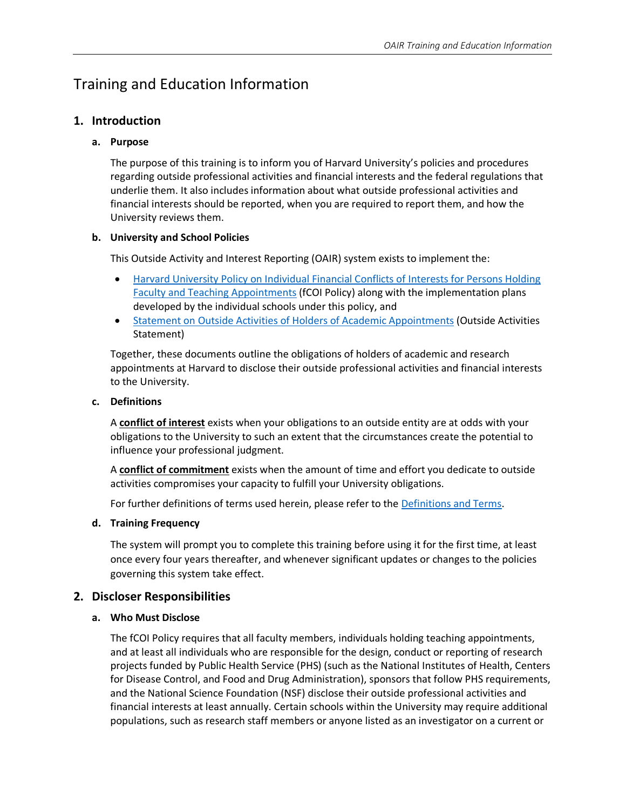# Training and Education Information

# **1. Introduction**

### **a. Purpose**

The purpose of this training is to inform you of Harvard University's policies and procedures regarding outside professional activities and financial interests and the federal regulations that underlie them. It also includes information about what outside professional activities and financial interests should be reported, when you are required to report them, and how the University reviews them.

### **b. University and School Policies**

This Outside Activity and Interest Reporting (OAIR) system exists to implement the:

- [Harvard University Policy on Individual Financial Conflicts of Interests for Persons Holding](http://files.vpr.harvard.edu/files/vpr-documents/files/harvard_university_fcoi_policy_4_0.pdf)  [Faculty and Teaching Appointments](http://files.vpr.harvard.edu/files/vpr-documents/files/harvard_university_fcoi_policy_4_0.pdf) (fCOI Policy) along with the implementation plans developed by the individual schools under this policy, and
- [Statement on Outside Activities of Holders](https://provost.harvard.edu/statement-outside-activities-holders-academic-appointments) of Academic Appointments (Outside Activities Statement)

Together, these documents outline the obligations of holders of academic and research appointments at Harvard to disclose their outside professional activities and financial interests to the University.

### **c. Definitions**

A **conflict of interest** exists when your obligations to an outside entity are at odds with your obligations to the University to such an extent that the circumstances create the potential to influence your professional judgment.

A **conflict of commitment** exists when the amount of time and effort you dedicate to outside activities compromises your capacity to fulfill your University obligations.

For further definitions of terms used herein, please refer to the [Definitions and Terms.](https://vpr.harvard.edu/files/ovpr-test/files/oair-definition_guidance.pdf)

# **d. Training Frequency**

The system will prompt you to complete this training before using it for the first time, at least once every four years thereafter, and whenever significant updates or changes to the policies governing this system take effect.

# **2. Discloser Responsibilities**

### **a. Who Must Disclose**

The fCOI Policy requires that all faculty members, individuals holding teaching appointments, and at least all individuals who are responsible for the design, conduct or reporting of research projects funded by Public Health Service (PHS) (such as the National Institutes of Health, Centers for Disease Control, and Food and Drug Administration), sponsors that follow PHS requirements, and the National Science Foundation (NSF) disclose their outside professional activities and financial interests at least annually. Certain schools within the University may require additional populations, such as research staff members or anyone listed as an investigator on a current or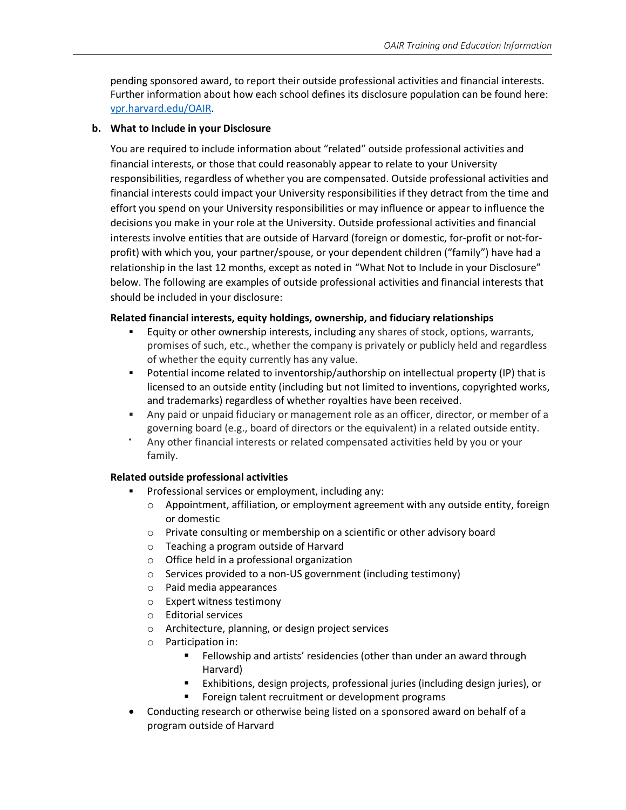pending sponsored award, to report their outside professional activities and financial interests. Further information about how each school defines its disclosure population can be found here: vpr.harvard.edu/OAIR.

#### **b. What to Include in your Disclosure**

You are required to include information about "related" outside professional activities and financial interests, or those that could reasonably appear to relate to your University responsibilities, regardless of whether you are compensated. Outside professional activities and financial interests could impact your University responsibilities if they detract from the time and effort you spend on your University responsibilities or may influence or appear to influence the decisions you make in your role at the University. Outside professional activities and financial interests involve entities that are outside of Harvard (foreign or domestic, for-profit or not-forprofit) with which you, your partner/spouse, or your dependent children ("family") have had a relationship in the last 12 months, except as noted in "What Not to Include in your Disclosure" below. The following are examples of outside professional activities and financial interests that should be included in your disclosure:

### **Related financial interests, equity holdings, ownership, and fiduciary relationships**

- Equity or other ownership interests, including any shares of stock, options, warrants, promises of such, etc., whether the company is privately or publicly held and regardless of whether the equity currently has any value.
- Potential income related to inventorship/authorship on intellectual property (IP) that is licensed to an outside entity (including but not limited to inventions, copyrighted works, and trademarks) regardless of whether royalties have been received.
- Any paid or unpaid fiduciary or management role as an officer, director, or member of a governing board (e.g., board of directors or the equivalent) in a related outside entity.
- Any other financial interests or related compensated activities held by you or your family.

### **Related outside professional activities**

- **Professional services or employment, including any:** 
	- o Appointment, affiliation, or employment agreement with any outside entity, foreign or domestic
	- o Private consulting or membership on a scientific or other advisory board
	- o Teaching a program outside of Harvard
	- o Office held in a professional organization
	- o Services provided to a non-US government (including testimony)
	- o Paid media appearances
	- o Expert witness testimony
	- o Editorial services
	- o Architecture, planning, or design project services
	- o Participation in:
		- Fellowship and artists' residencies (other than under an award through Harvard)
		- Exhibitions, design projects, professional juries (including design juries), or
		- **Fig. 2** Foreign talent recruitment or development programs
- Conducting research or otherwise being listed on a sponsored award on behalf of a program outside of Harvard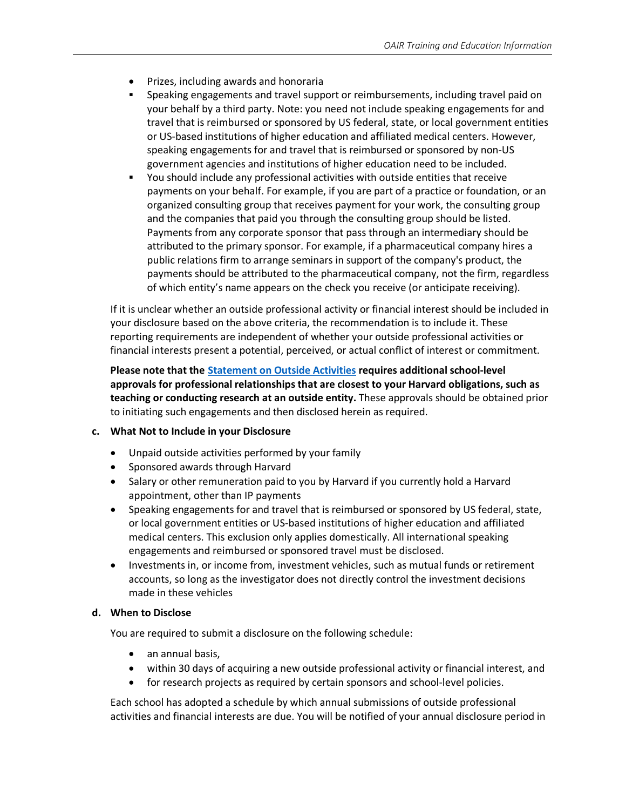- Prizes, including awards and honoraria
- Speaking engagements and travel support or reimbursements, including travel paid on your behalf by a third party. Note: you need not include speaking engagements for and travel that is reimbursed or sponsored by US federal, state, or local government entities or US-based institutions of higher education and affiliated medical centers. However, speaking engagements for and travel that is reimbursed or sponsored by non-US government agencies and institutions of higher education need to be included.
- You should include any professional activities with outside entities that receive payments on your behalf. For example, if you are part of a practice or foundation, or an organized consulting group that receives payment for your work, the consulting group and the companies that paid you through the consulting group should be listed. Payments from any corporate sponsor that pass through an intermediary should be attributed to the primary sponsor. For example, if a pharmaceutical company hires a public relations firm to arrange seminars in support of the company's product, the payments should be attributed to the pharmaceutical company, not the firm, regardless of which entity's name appears on the check you receive (or anticipate receiving).

If it is unclear whether an outside professional activity or financial interest should be included in your disclosure based on the above criteria, the recommendation is to include it. These reporting requirements are independent of whether your outside professional activities or financial interests present a potential, perceived, or actual conflict of interest or commitment.

**Please note that the [Statement on Outside Activities](https://provost.harvard.edu/statement-outside-activities-holders-academic-appointments) requires additional school-level approvals for professional relationships that are closest to your Harvard obligations, such as teaching or conducting research at an outside entity.** These approvals should be obtained prior to initiating such engagements and then disclosed herein as required.

- **c. What Not to Include in your Disclosure**
	- Unpaid outside activities performed by your family
	- Sponsored awards through Harvard
	- Salary or other remuneration paid to you by Harvard if you currently hold a Harvard appointment, other than IP payments
	- Speaking engagements for and travel that is reimbursed or sponsored by US federal, state, or local government entities or US-based institutions of higher education and affiliated medical centers. This exclusion only applies domestically. All international speaking engagements and reimbursed or sponsored travel must be disclosed.
	- Investments in, or income from, investment vehicles, such as mutual funds or retirement accounts, so long as the investigator does not directly control the investment decisions made in these vehicles

### **d. When to Disclose**

You are required to submit a disclosure on the following schedule:

- an annual basis,
- within 30 days of acquiring a new outside professional activity or financial interest, and
- for research projects as required by certain sponsors and school-level policies.

Each school has adopted a schedule by which annual submissions of outside professional activities and financial interests are due. You will be notified of your annual disclosure period in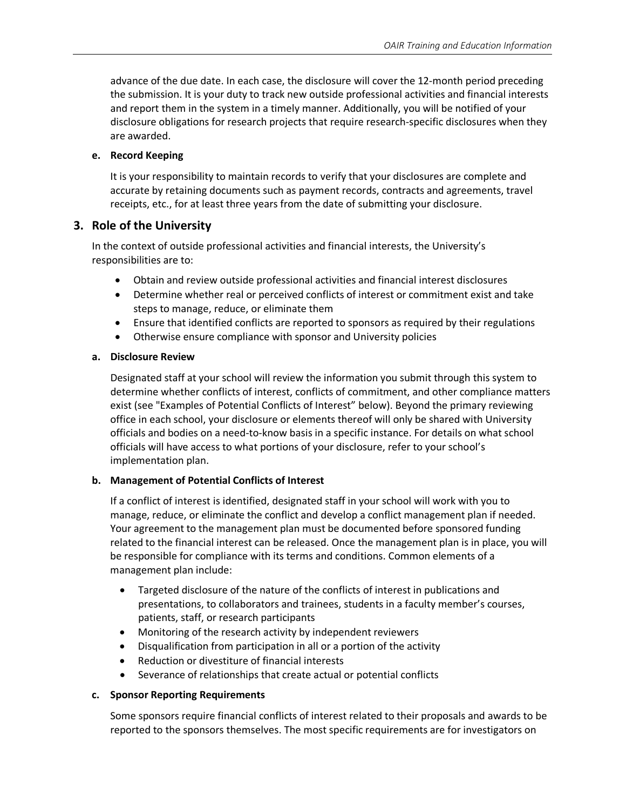advance of the due date. In each case, the disclosure will cover the 12-month period preceding the submission. It is your duty to track new outside professional activities and financial interests and report them in the system in a timely manner. Additionally, you will be notified of your disclosure obligations for research projects that require research-specific disclosures when they are awarded.

### **e. Record Keeping**

It is your responsibility to maintain records to verify that your disclosures are complete and accurate by retaining documents such as payment records, contracts and agreements, travel receipts, etc., for at least three years from the date of submitting your disclosure.

# **3. Role of the University**

In the context of outside professional activities and financial interests, the University's responsibilities are to:

- Obtain and review outside professional activities and financial interest disclosures
- Determine whether real or perceived conflicts of interest or commitment exist and take steps to manage, reduce, or eliminate them
- Ensure that identified conflicts are reported to sponsors as required by their regulations
- Otherwise ensure compliance with sponsor and University policies

### **a. Disclosure Review**

Designated staff at your school will review the information you submit through this system to determine whether conflicts of interest, conflicts of commitment, and other compliance matters exist (see "Examples of Potential Conflicts of Interest" below). Beyond the primary reviewing office in each school, your disclosure or elements thereof will only be shared with University officials and bodies on a need-to-know basis in a specific instance. For details on what school officials will have access to what portions of your disclosure, refer to your school's implementation plan.

### **b. Management of Potential Conflicts of Interest**

If a conflict of interest is identified, designated staff in your school will work with you to manage, reduce, or eliminate the conflict and develop a conflict management plan if needed. Your agreement to the management plan must be documented before sponsored funding related to the financial interest can be released. Once the management plan is in place, you will be responsible for compliance with its terms and conditions. Common elements of a management plan include:

- Targeted disclosure of the nature of the conflicts of interest in publications and presentations, to collaborators and trainees, students in a faculty member's courses, patients, staff, or research participants
- Monitoring of the research activity by independent reviewers
- Disqualification from participation in all or a portion of the activity
- Reduction or divestiture of financial interests
- Severance of relationships that create actual or potential conflicts

### **c. Sponsor Reporting Requirements**

Some sponsors require financial conflicts of interest related to their proposals and awards to be reported to the sponsors themselves. The most specific requirements are for investigators on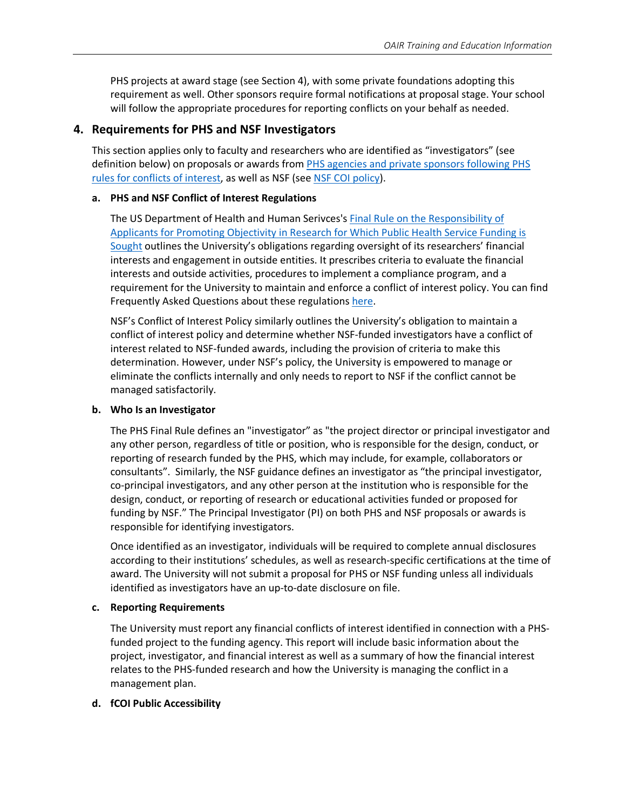PHS projects at award stage (see Section 4), with some private foundations adopting this requirement as well. Other sponsors require formal notifications at proposal stage. Your school will follow the appropriate procedures for reporting conflicts on your behalf as needed.

# **4. Requirements for PHS and NSF Investigators**

This section applies only to faculty and researchers who are identified as "investigators" (see definition below) on proposals or awards from PHS agencies and [private sponsors following](https://vpr.harvard.edu/files/ovpr-test/files/agencies_and_organizations_following_the_phs_fcoi_regulations.pdf) PHS rules [for conflicts of interest,](https://vpr.harvard.edu/files/ovpr-test/files/agencies_and_organizations_following_the_phs_fcoi_regulations.pdf) as well as NSF (see [NSF COI policy\)](https://www.nsf.gov/pubs/manuals/gpm05_131/gpm5.jsp#510).

### **a. PHS and NSF Conflict of Interest Regulations**

The US Department of Health and Human Serivces's [Final Rule on the Responsibility of](http://www.gpo.gov/fdsys/pkg/FR-2011-08-25/pdf/2011-21633.pdf)  [Applicants for Promoting Objectivity in Research for Which Public Health Service Funding is](http://www.gpo.gov/fdsys/pkg/FR-2011-08-25/pdf/2011-21633.pdf)  [Sought](http://www.gpo.gov/fdsys/pkg/FR-2011-08-25/pdf/2011-21633.pdf) outlines the University's obligations regarding oversight of its researchers' financial interests and engagement in outside entities. It prescribes criteria to evaluate the financial interests and outside activities, procedures to implement a compliance program, and a requirement for the University to maintain and enforce a conflict of interest policy. You can find Frequently Asked Questions about these regulations [here.](https://grants.nih.gov/faqs#/financial-conflict-of-interest.htm)

NSF's Conflict of Interest Policy similarly outlines the University's obligation to maintain a conflict of interest policy and determine whether NSF-funded investigators have a conflict of interest related to NSF-funded awards, including the provision of criteria to make this determination. However, under NSF's policy, the University is empowered to manage or eliminate the conflicts internally and only needs to report to NSF if the conflict cannot be managed satisfactorily.

### **b. Who Is an Investigator**

The PHS Final Rule defines an "investigator" as "the project director or principal investigator and any other person, regardless of title or position, who is responsible for the design, conduct, or reporting of research funded by the PHS, which may include, for example, collaborators or consultants". Similarly, the NSF guidance defines an investigator as "the principal investigator, co-principal investigators, and any other person at the institution who is responsible for the design, conduct, or reporting of research or educational activities funded or proposed for funding by NSF." The Principal Investigator (PI) on both PHS and NSF proposals or awards is responsible for identifying investigators.

Once identified as an investigator, individuals will be required to complete annual disclosures according to their institutions' schedules, as well as research-specific certifications at the time of award. The University will not submit a proposal for PHS or NSF funding unless all individuals identified as investigators have an up-to-date disclosure on file.

# **c. Reporting Requirements**

The University must report any financial conflicts of interest identified in connection with a PHSfunded project to the funding agency. This report will include basic information about the project, investigator, and financial interest as well as a summary of how the financial interest relates to the PHS-funded research and how the University is managing the conflict in a management plan.

# **d. fCOI Public Accessibility**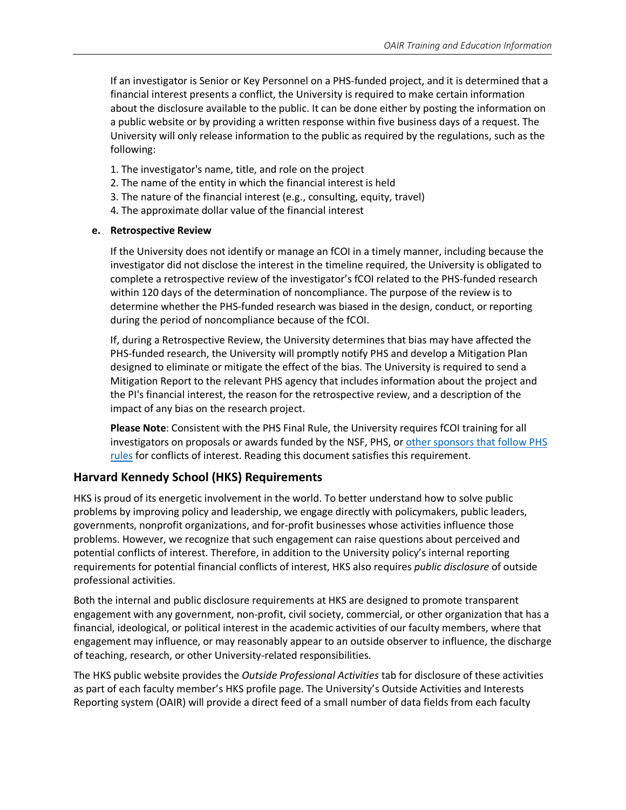If an investigator is Senior or Key Personnel on a PHS-funded project, and it is determined that a financial interest presents a conflict, the University is required to make certain information about the disclosure available to the public. It can be done either by posting the information on a public website or by providing a written response within five business days of a request. The University will only release information to the public as required by the regulations, such as the following:

- 1. The investigator's name, title, and role on the project
- 2. The name of the entity in which the financial interest is held
- 3. The nature of the financial interest (e.g., consulting, equity, travel)
- 4. The approximate dollar value of the financial interest

### **e. Retrospective Review**

If the University does not identify or manage an fCOI in a timely manner, including because the investigator did not disclose the interest in the timeline required, the University is obligated to complete a retrospective review of the investigator's fCOI related to the PHS-funded research within 120 days of the determination of noncompliance. The purpose of the review is to determine whether the PHS-funded research was biased in the design, conduct, or reporting during the period of noncompliance because of the fCOI.

If, during a Retrospective Review, the University determines that bias may have affected the PHS-funded research, the University will promptly notify PHS and develop a Mitigation Plan designed to eliminate or mitigate the effect of the bias. The University is required to send a Mitigation Report to the relevant PHS agency that includes information about the project and the PI's financial interest, the reason for the retrospective review, and a description of the impact of any bias on the research project.

**Please Note**: Consistent with the PHS Final Rule, the University requires fCOI training for all investigators on proposals or awards funded by the NSF, PHS, or [other sponsors that follow](https://vpr.harvard.edu/files/ovpr-test/files/agencies_and_organizations_following_the_phs_fcoi_regulations.pdf) PHS [rules](https://vpr.harvard.edu/files/ovpr-test/files/agencies_and_organizations_following_the_phs_fcoi_regulations.pdf) for conflicts of interest. Reading this document satisfies this requirement.

# **Harvard Kennedy School (HKS) Requirements**

HKS is proud of its energetic involvement in the world. To better understand how to solve public problems by improving policy and leadership, we engage directly with policymakers, public leaders, governments, nonprofit organizations, and for-profit businesses whose activities influence those problems. However, we recognize that such engagement can raise questions about perceived and potential conflicts of interest. Therefore, in addition to the University policy's internal reporting requirements for potential financial conflicts of interest, HKS also requires *public disclosure* of outside professional activities.

Both the internal and public disclosure requirements at HKS are designed to promote transparent engagement with any government, non-profit, civil society, commercial, or other organization that has a financial, ideological, or political interest in the academic activities of our faculty members, where that engagement may influence, or may reasonably appear to an outside observer to influence, the discharge of teaching, research, or other University-related responsibilities.

The HKS public website provides the *Outside Professional Activities* tab for disclosure of these activities as part of each faculty member's HKS profile page. The University's Outside Activities and Interests Reporting system (OAIR) will provide a direct feed of a small number of data fields from each faculty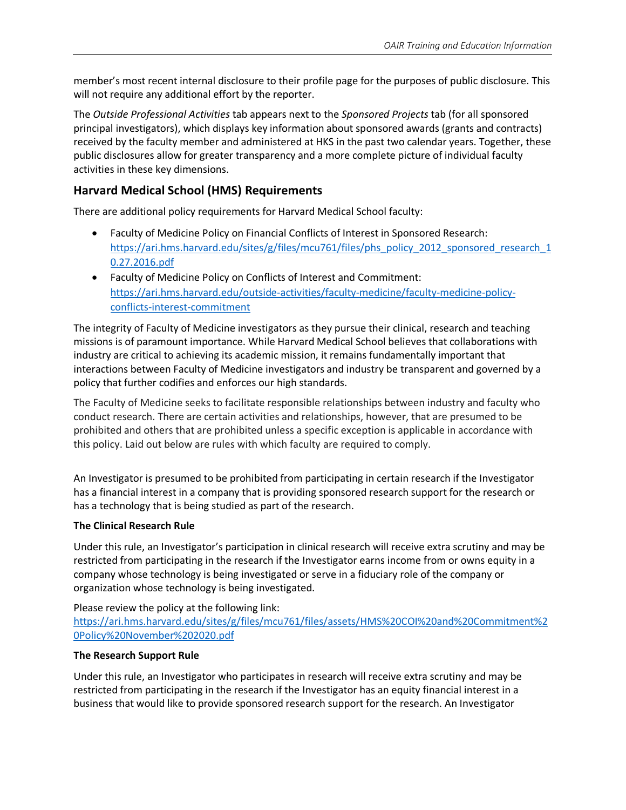member's most recent internal disclosure to their profile page for the purposes of public disclosure. This will not require any additional effort by the reporter.

The *Outside Professional Activities* tab appears next to the *Sponsored Projects* tab (for all sponsored principal investigators), which displays key information about sponsored awards (grants and contracts) received by the faculty member and administered at HKS in the past two calendar years. Together, these public disclosures allow for greater transparency and a more complete picture of individual faculty activities in these key dimensions.

# **Harvard Medical School (HMS) Requirements**

There are additional policy requirements for Harvard Medical School faculty:

- Faculty of Medicine Policy on Financial Conflicts of Interest in Sponsored Research: [https://ari.hms.harvard.edu/sites/g/files/mcu761/files/phs\\_policy\\_2012\\_sponsored\\_research\\_1](https://ari.hms.harvard.edu/sites/g/files/mcu761/files/phs_policy_2012_sponsored_research_10.27.2016.pdf) [0.27.2016.pdf](https://ari.hms.harvard.edu/sites/g/files/mcu761/files/phs_policy_2012_sponsored_research_10.27.2016.pdf)
- Faculty of Medicine Policy on Conflicts of Interest and Commitment: [https://ari.hms.harvard.edu/outside-activities/faculty-medicine/faculty-medicine-policy](https://ari.hms.harvard.edu/outside-activities/faculty-medicine/faculty-medicine-policy-conflicts-interest-commitment)[conflicts-interest-commitment](https://ari.hms.harvard.edu/outside-activities/faculty-medicine/faculty-medicine-policy-conflicts-interest-commitment)

The integrity of Faculty of Medicine investigators as they pursue their clinical, research and teaching missions is of paramount importance. While Harvard Medical School believes that collaborations with industry are critical to achieving its academic mission, it remains fundamentally important that interactions between Faculty of Medicine investigators and industry be transparent and governed by a policy that further codifies and enforces our high standards.

The Faculty of Medicine seeks to facilitate responsible relationships between industry and faculty who conduct research. There are certain activities and relationships, however, that are presumed to be prohibited and others that are prohibited unless a specific exception is applicable in accordance with this policy. Laid out below are rules with which faculty are required to comply.

An Investigator is presumed to be prohibited from participating in certain research if the Investigator has a financial interest in a company that is providing sponsored research support for the research or has a technology that is being studied as part of the research.

### **The Clinical Research Rule**

Under this rule, an Investigator's participation in clinical research will receive extra scrutiny and may be restricted from participating in the research if the Investigator earns income from or owns equity in a company whose technology is being investigated or serve in a fiduciary role of the company or organization whose technology is being investigated.

Please review the policy at the following link: [https://ari.hms.harvard.edu/sites/g/files/mcu761/files/assets/HMS%20COI%20and%20Commitment%2](https://ari.hms.harvard.edu/sites/g/files/mcu761/files/assets/HMS%20COI%20and%20Commitment%20Policy%20November%202020.pdf) [0Policy%20November%202020.pdf](https://ari.hms.harvard.edu/sites/g/files/mcu761/files/assets/HMS%20COI%20and%20Commitment%20Policy%20November%202020.pdf)

### **The Research Support Rule**

Under this rule, an Investigator who participates in research will receive extra scrutiny and may be restricted from participating in the research if the Investigator has an equity financial interest in a business that would like to provide sponsored research support for the research. An Investigator